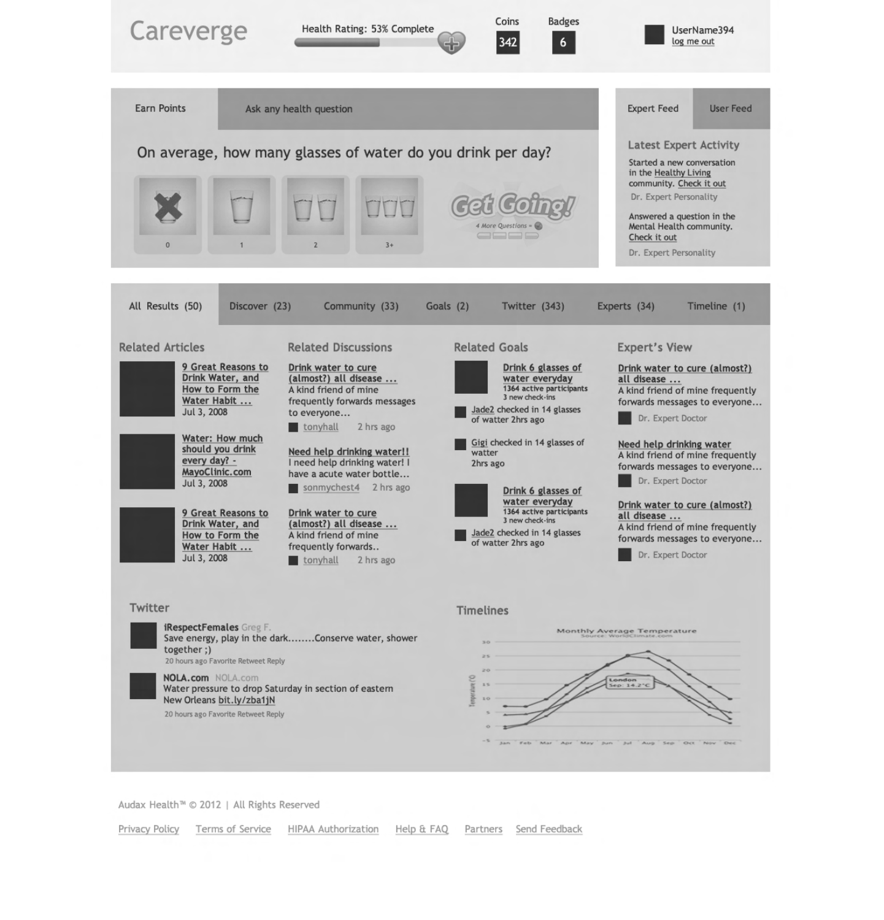

## iRespectFemales Greg F. Save energy, play in the dark........Conserve water, shower together ;) 20 hours ago Favorite Retweet Reply

NOLA.com NOLA.com Water pressure to drop Saturday in section of eastern New Orleans bit.ly/zba1jN

20 hours ago Favorite Retweet Reply



## Twitter Timelines

Audax Health™ © 2012 | All Rights Reserved

Privacy Policy Terms of Service HIPAA Authorization Help & FAQ Partners Send Feedback